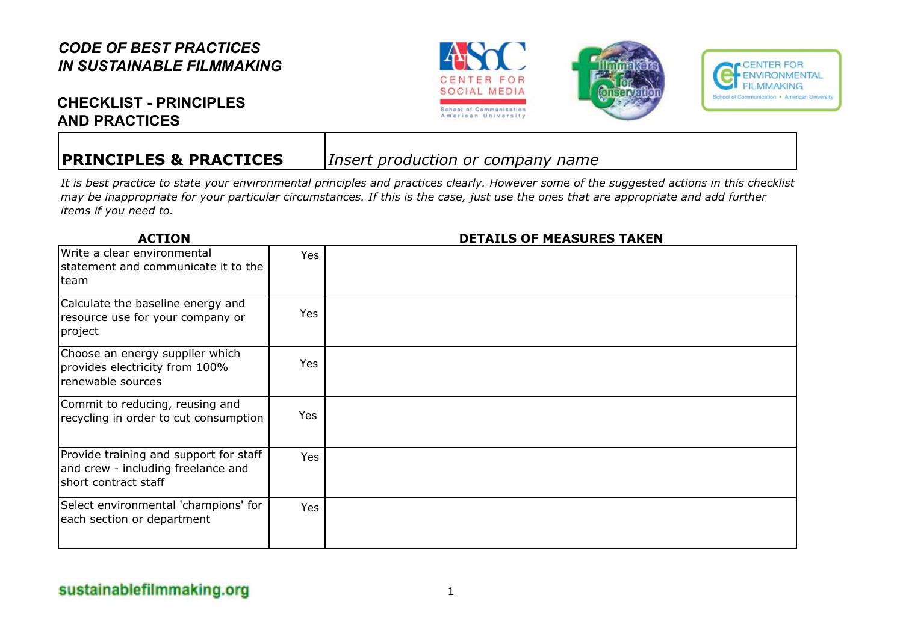# **CHECKLIST - PRINCIPLES AND PRACTICES**

**PRINCIPLES & PRACTICES** *Insert production or company name*

*It is best practice to state your environmental principles and practices clearly. However some of the suggested actions in this checklist may be inappropriate for your particular circumstances. If this is the case, just use the ones that are appropriate and add further items if you need to.*

| <b>ACTION</b>                                                                                        |            | <b>DETAILS OF MEASURES TAKEN</b> |
|------------------------------------------------------------------------------------------------------|------------|----------------------------------|
| Write a clear environmental<br>statement and communicate it to the<br>team                           | <b>Yes</b> |                                  |
| Calculate the baseline energy and<br>resource use for your company or<br> project                    | Yes        |                                  |
| Choose an energy supplier which<br>provides electricity from 100%<br>renewable sources               | <b>Yes</b> |                                  |
| Commit to reducing, reusing and<br>recycling in order to cut consumption                             | Yes        |                                  |
| Provide training and support for staff<br>and crew - including freelance and<br>short contract staff | Yes        |                                  |
| Select environmental 'champions' for<br>each section or department                                   | Yes        |                                  |



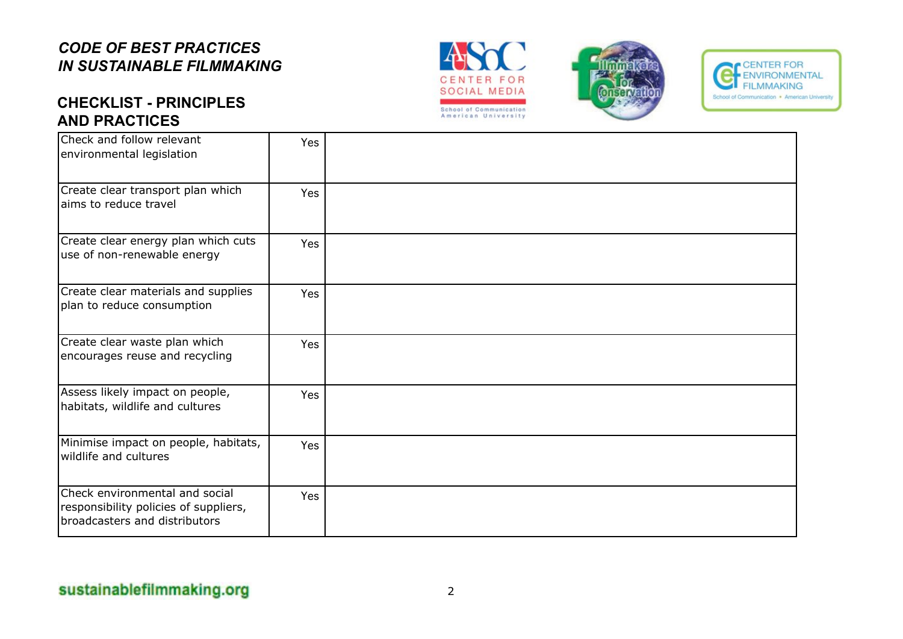# **CHECKLIST - PRINCIPLES AND PRACTICES**







| Check and follow relevant<br>environmental legislation                                                   | Yes        |  |
|----------------------------------------------------------------------------------------------------------|------------|--|
| Create clear transport plan which<br>aims to reduce travel                                               | Yes        |  |
| Create clear energy plan which cuts<br>use of non-renewable energy                                       | Yes        |  |
| Create clear materials and supplies<br>plan to reduce consumption                                        | Yes        |  |
| Create clear waste plan which<br>encourages reuse and recycling                                          | Yes        |  |
| Assess likely impact on people,<br>habitats, wildlife and cultures                                       | Yes        |  |
| Minimise impact on people, habitats,<br>wildlife and cultures                                            | <b>Yes</b> |  |
| Check environmental and social<br>responsibility policies of suppliers,<br>broadcasters and distributors | Yes        |  |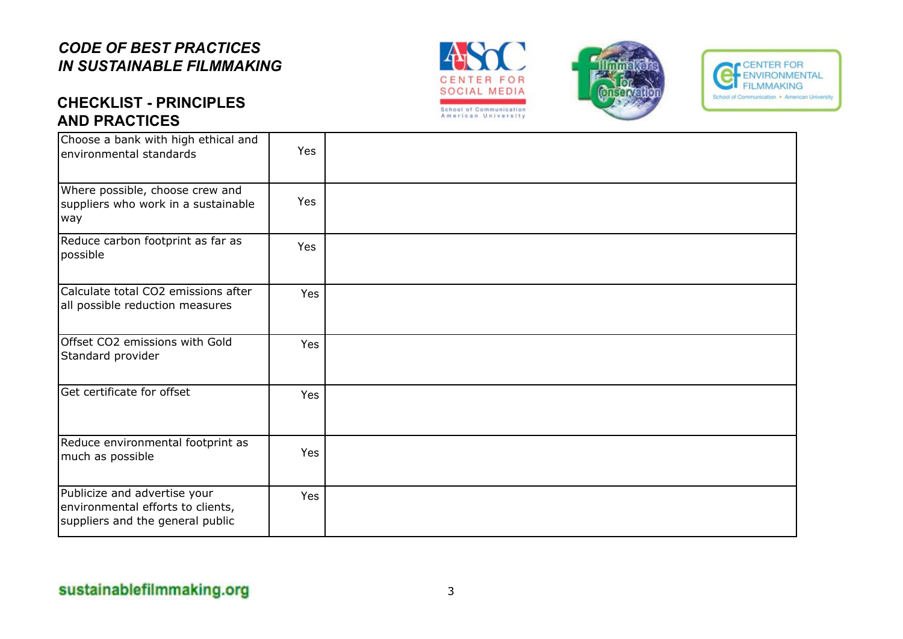





# **CHECKLIST - PRINCIPLES AND PRACTICES**

| Choose a bank with high ethical and<br>environmental standards                                        | <b>Yes</b> |  |
|-------------------------------------------------------------------------------------------------------|------------|--|
| Where possible, choose crew and<br>suppliers who work in a sustainable<br>way                         | Yes        |  |
| Reduce carbon footprint as far as<br>possible                                                         | Yes        |  |
| Calculate total CO2 emissions after<br>all possible reduction measures                                | Yes        |  |
| Offset CO2 emissions with Gold<br>Standard provider                                                   | <b>Yes</b> |  |
| Get certificate for offset                                                                            | Yes        |  |
| Reduce environmental footprint as<br>much as possible                                                 | Yes        |  |
| Publicize and advertise your<br>environmental efforts to clients,<br>suppliers and the general public | Yes        |  |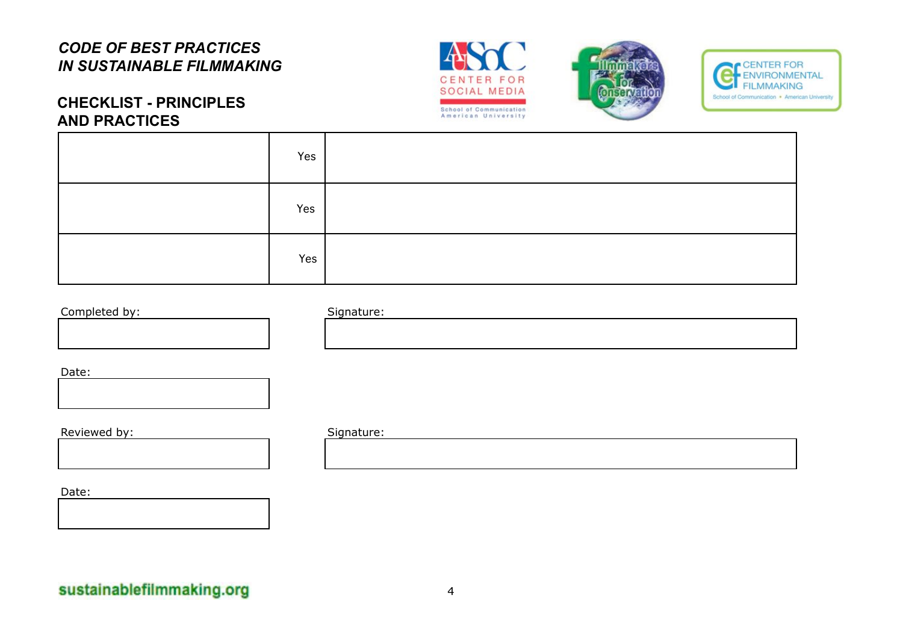





### **CHECKLIST - PRINCIPLES AND PRACTICES**

| Yes |  |
|-----|--|
| Yes |  |
| Yes |  |

### Completed by: Signature:



Date:



Reviewed by: Signature:

Date: